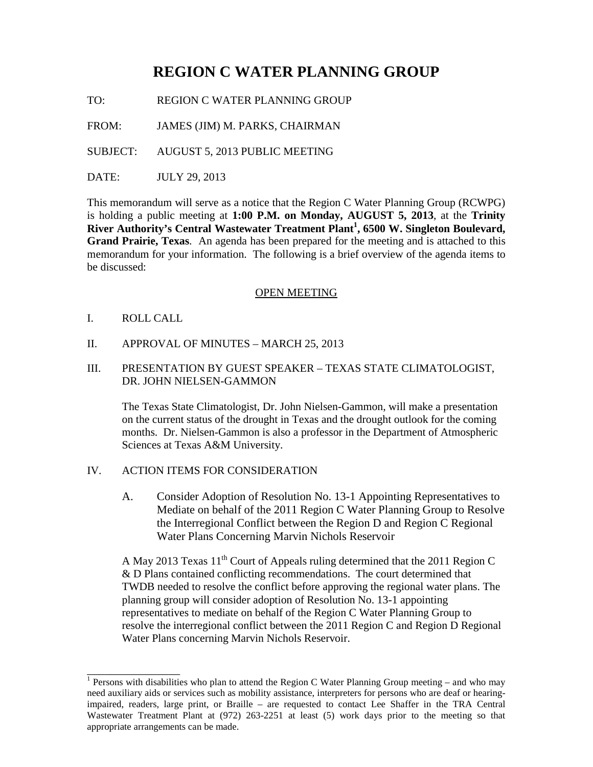# **REGION C WATER PLANNING GROUP**

TO: REGION C WATER PLANNING GROUP

FROM: JAMES (JIM) M. PARKS, CHAIRMAN

SUBJECT: AUGUST 5, 2013 PUBLIC MEETING

DATE: JULY 29, 2013

This memorandum will serve as a notice that the Region C Water Planning Group (RCWPG) is holding a public meeting at **1:00 P.M. on Monday, AUGUST 5, 2013**, at the **Trinity**  River Authority's Central Wastewater Treatment Plant<sup>1</sup>, 6500 W. Singleton Boulevard, **Grand Prairie, Texas**. An agenda has been prepared for the meeting and is attached to this memorandum for your information. The following is a brief overview of the agenda items to be discussed:

## OPEN MEETING

I. ROLL CALL

\_\_\_\_\_\_\_\_\_\_\_\_\_\_\_\_

- II. APPROVAL OF MINUTES MARCH 25, 2013
- III. PRESENTATION BY GUEST SPEAKER TEXAS STATE CLIMATOLOGIST, DR. JOHN NIELSEN-GAMMON

The Texas State Climatologist, Dr. John Nielsen-Gammon, will make a presentation on the current status of the drought in Texas and the drought outlook for the coming months. Dr. Nielsen-Gammon is also a professor in the Department of Atmospheric Sciences at Texas A&M University.

## IV. ACTION ITEMS FOR CONSIDERATION

A. Consider Adoption of Resolution No. 13-1 Appointing Representatives to Mediate on behalf of the 2011 Region C Water Planning Group to Resolve the Interregional Conflict between the Region D and Region C Regional Water Plans Concerning Marvin Nichols Reservoir

A May 2013 Texas 11<sup>th</sup> Court of Appeals ruling determined that the 2011 Region C & D Plans contained conflicting recommendations. The court determined that TWDB needed to resolve the conflict before approving the regional water plans. The planning group will consider adoption of Resolution No. 13-1 appointing representatives to mediate on behalf of the Region C Water Planning Group to resolve the interregional conflict between the 2011 Region C and Region D Regional Water Plans concerning Marvin Nichols Reservoir.

<sup>&</sup>lt;sup>1</sup> Persons with disabilities who plan to attend the Region C Water Planning Group meeting – and who may need auxiliary aids or services such as mobility assistance, interpreters for persons who are deaf or hearingimpaired, readers, large print, or Braille – are requested to contact Lee Shaffer in the TRA Central Wastewater Treatment Plant at (972) 263-2251 at least (5) work days prior to the meeting so that appropriate arrangements can be made.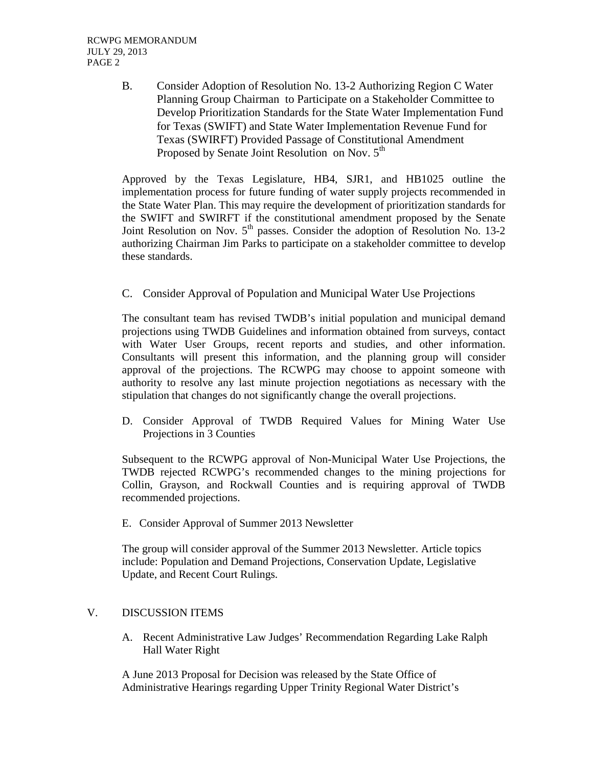B. Consider Adoption of Resolution No. 13-2 Authorizing Region C Water Planning Group Chairman to Participate on a Stakeholder Committee to Develop Prioritization Standards for the State Water Implementation Fund for Texas (SWIFT) and State Water Implementation Revenue Fund for Texas (SWIRFT) Provided Passage of Constitutional Amendment Proposed by Senate Joint Resolution on Nov. 5<sup>th</sup>

Approved by the Texas Legislature, HB4, SJR1, and HB1025 outline the implementation process for future funding of water supply projects recommended in the State Water Plan. This may require the development of prioritization standards for the SWIFT and SWIRFT if the constitutional amendment proposed by the Senate Joint Resolution on Nov.  $5<sup>th</sup>$  passes. Consider the adoption of Resolution No. 13-2 authorizing Chairman Jim Parks to participate on a stakeholder committee to develop these standards.

C. Consider Approval of Population and Municipal Water Use Projections

The consultant team has revised TWDB's initial population and municipal demand projections using TWDB Guidelines and information obtained from surveys, contact with Water User Groups, recent reports and studies, and other information. Consultants will present this information, and the planning group will consider approval of the projections. The RCWPG may choose to appoint someone with authority to resolve any last minute projection negotiations as necessary with the stipulation that changes do not significantly change the overall projections.

D. Consider Approval of TWDB Required Values for Mining Water Use Projections in 3 Counties

Subsequent to the RCWPG approval of Non-Municipal Water Use Projections, the TWDB rejected RCWPG's recommended changes to the mining projections for Collin, Grayson, and Rockwall Counties and is requiring approval of TWDB recommended projections.

E. Consider Approval of Summer 2013 Newsletter

The group will consider approval of the Summer 2013 Newsletter. Article topics include: Population and Demand Projections, Conservation Update, Legislative Update, and Recent Court Rulings.

## V. DISCUSSION ITEMS

A. Recent Administrative Law Judges' Recommendation Regarding Lake Ralph Hall Water Right

A June 2013 Proposal for Decision was released by the State Office of Administrative Hearings regarding Upper Trinity Regional Water District's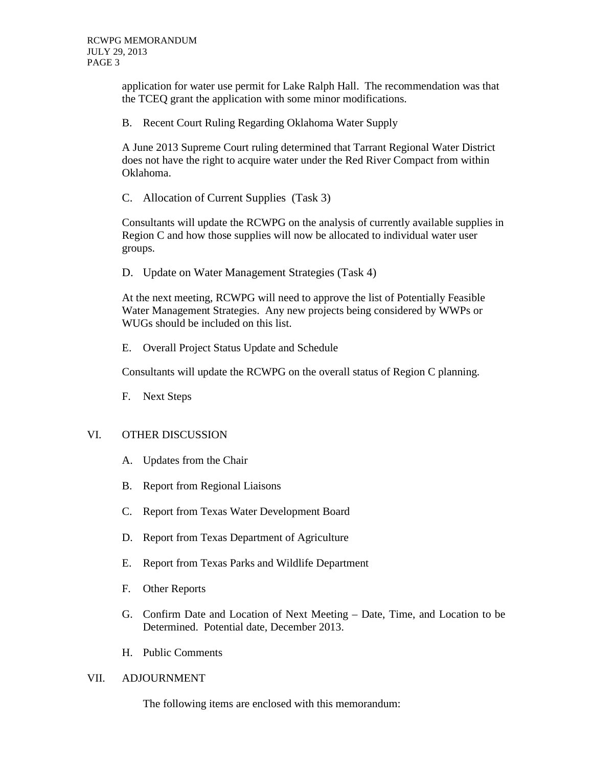application for water use permit for Lake Ralph Hall. The recommendation was that the TCEQ grant the application with some minor modifications.

B. Recent Court Ruling Regarding Oklahoma Water Supply

A June 2013 Supreme Court ruling determined that Tarrant Regional Water District does not have the right to acquire water under the Red River Compact from within Oklahoma.

C. Allocation of Current Supplies (Task 3)

Consultants will update the RCWPG on the analysis of currently available supplies in Region C and how those supplies will now be allocated to individual water user groups.

D. Update on Water Management Strategies (Task 4)

At the next meeting, RCWPG will need to approve the list of Potentially Feasible Water Management Strategies. Any new projects being considered by WWPs or WUGs should be included on this list.

E. Overall Project Status Update and Schedule

Consultants will update the RCWPG on the overall status of Region C planning.

F. Next Steps

## VI. OTHER DISCUSSION

- A. Updates from the Chair
- B. Report from Regional Liaisons
- C. Report from Texas Water Development Board
- D. Report from Texas Department of Agriculture
- E. Report from Texas Parks and Wildlife Department
- F. Other Reports
- G. Confirm Date and Location of Next Meeting Date, Time, and Location to be Determined. Potential date, December 2013.
- H. Public Comments

## VII. ADJOURNMENT

The following items are enclosed with this memorandum: